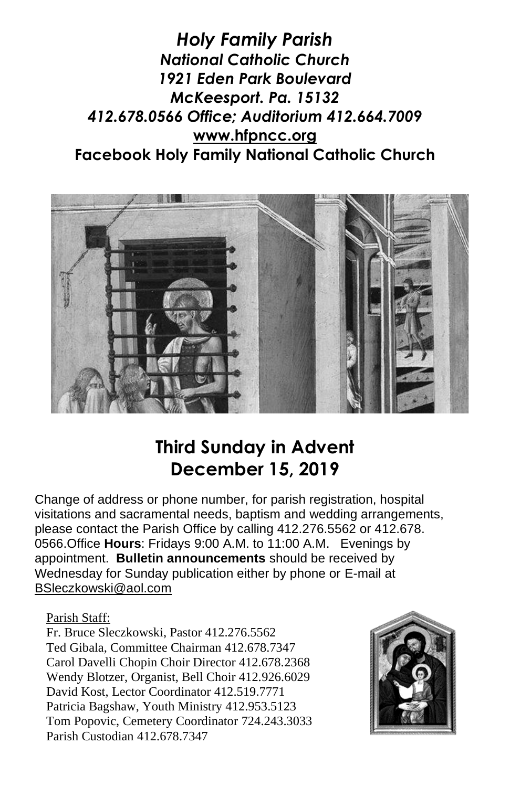*Holy Family Parish National Catholic Church 1921 Eden Park Boulevard McKeesport. Pa. 15132 412.678.0566 Office; Auditorium 412.664.7009* **[www.hfpncc.org](http://www.hfpncc.org/) Facebook Holy Family National Catholic Church**



# **Third Sunday in Advent December 15, 2019**

Change of address or phone number, for parish registration, hospital visitations and sacramental needs, baptism and wedding arrangements, please contact the Parish Office by calling 412.276.5562 or 412.678. 0566.Office **Hours**: Fridays 9:00 A.M. to 11:00 A.M. Evenings by appointment. **Bulletin announcements** should be received by Wednesday for Sunday publication either by phone or E-mail at [BSleczkowski@aol.com](mailto:BSleczkowski@aol.com)

Parish Staff:

Fr. Bruce Sleczkowski, Pastor 412.276.5562 Ted Gibala, Committee Chairman 412.678.7347 Carol Davelli Chopin Choir Director 412.678.2368 Wendy Blotzer, Organist, Bell Choir 412.926.6029 David Kost, Lector Coordinator 412.519.7771 Patricia Bagshaw, Youth Ministry 412.953.5123 Tom Popovic, Cemetery Coordinator 724.243.3033 Parish Custodian 412.678.7347

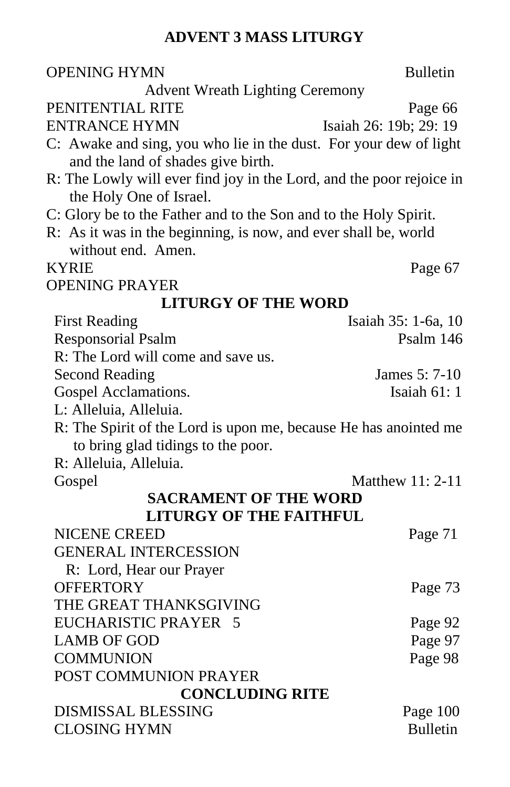#### **ADVENT 3 MASS LITURGY**

| <b>OPENING HYMN</b>                                                                             | <b>Bulletin</b>             |
|-------------------------------------------------------------------------------------------------|-----------------------------|
| <b>Advent Wreath Lighting Ceremony</b>                                                          |                             |
| PENITENTIAL RITE                                                                                | Page 66                     |
| ENTRANCE HYMN                                                                                   | Isaiah 26: 19b; 29: 19      |
| C: Awake and sing, you who lie in the dust. For your dew of light                               |                             |
| and the land of shades give birth.                                                              |                             |
| R: The Lowly will ever find joy in the Lord, and the poor rejoice in<br>the Holy One of Israel. |                             |
| C: Glory be to the Father and to the Son and to the Holy Spirit.                                |                             |
| R: As it was in the beginning, is now, and ever shall be, world                                 |                             |
| without end. Amen.                                                                              |                             |
| KYRIE                                                                                           | Page 67                     |
| <b>OPENING PRAYER</b>                                                                           |                             |
| <b>LITURGY OF THE WORD</b>                                                                      |                             |
| <b>First Reading</b>                                                                            | Isaiah 35: 1-6a, 10         |
| <b>Responsorial Psalm</b>                                                                       | Psalm 146                   |
| R: The Lord will come and save us.                                                              |                             |
| <b>Second Reading</b>                                                                           | James 5: 7-10               |
| Gospel Acclamations.                                                                            | Isaiah 61:1                 |
| L: Alleluia, Alleluia.                                                                          |                             |
| R: The Spirit of the Lord is upon me, because He has anointed me                                |                             |
| to bring glad tidings to the poor.                                                              |                             |
| R: Alleluia, Alleluia.                                                                          |                             |
| Gospel                                                                                          | Matthew 11: 2-11            |
| <b>SACRAMENT OF THE WORD</b>                                                                    |                             |
| <b>LITURGY OF THE FAITHFUL</b>                                                                  |                             |
| <b>NICENE CREED</b>                                                                             | Page 71                     |
| <b>GENERAL INTERCESSION</b>                                                                     |                             |
| R: Lord, Hear our Prayer                                                                        |                             |
| <b>OFFERTORY</b>                                                                                | Page 73                     |
| THE GREAT THANKSGIVING                                                                          |                             |
| EUCHARISTIC PRAYER 5                                                                            | Page 92                     |
| <b>LAMB OF GOD</b>                                                                              | Page 97                     |
| <b>COMMUNION</b>                                                                                | Page 98                     |
| POST COMMUNION PRAYER                                                                           |                             |
| <b>CONCLUDING RITE</b><br><b>DISMISSAL BLESSING</b>                                             |                             |
| <b>CLOSING HYMN</b>                                                                             | Page 100<br><b>Bulletin</b> |
|                                                                                                 |                             |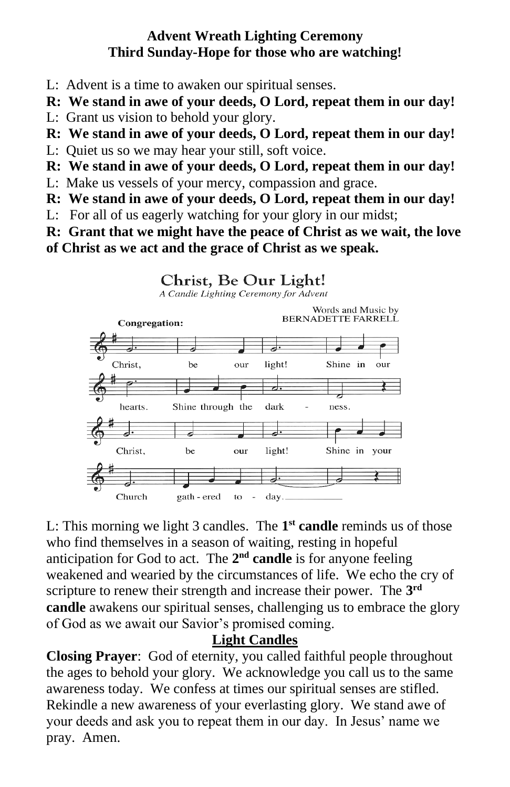#### **Advent Wreath Lighting Ceremony Third Sunday-Hope for those who are watching!**

- L: Advent is a time to awaken our spiritual senses.
- **R: We stand in awe of your deeds, O Lord, repeat them in our day!**
- L: Grant us vision to behold your glory.
- **R: We stand in awe of your deeds, O Lord, repeat them in our day!**
- L: Quiet us so we may hear your still, soft voice.
- **R: We stand in awe of your deeds, O Lord, repeat them in our day!**
- L: Make us vessels of your mercy, compassion and grace.
- **R: We stand in awe of your deeds, O Lord, repeat them in our day!**
- L: For all of us eagerly watching for your glory in our midst;
- **R: Grant that we might have the peace of Christ as we wait, the love of Christ as we act and the grace of Christ as we speak.**



L: This morning we light 3 candles. The **1 st candle** reminds us of those who find themselves in a season of waiting, resting in hopeful anticipation for God to act. The 2<sup>nd</sup> candle is for anyone feeling weakened and wearied by the circumstances of life. We echo the cry of scripture to renew their strength and increase their power. The **3 rd candle** awakens our spiritual senses, challenging us to embrace the glory of God as we await our Savior's promised coming.

#### **Light Candles**

**Closing Prayer**: God of eternity, you called faithful people throughout the ages to behold your glory. We acknowledge you call us to the same awareness today. We confess at times our spiritual senses are stifled. Rekindle a new awareness of your everlasting glory. We stand awe of your deeds and ask you to repeat them in our day. In Jesus' name we pray. Amen.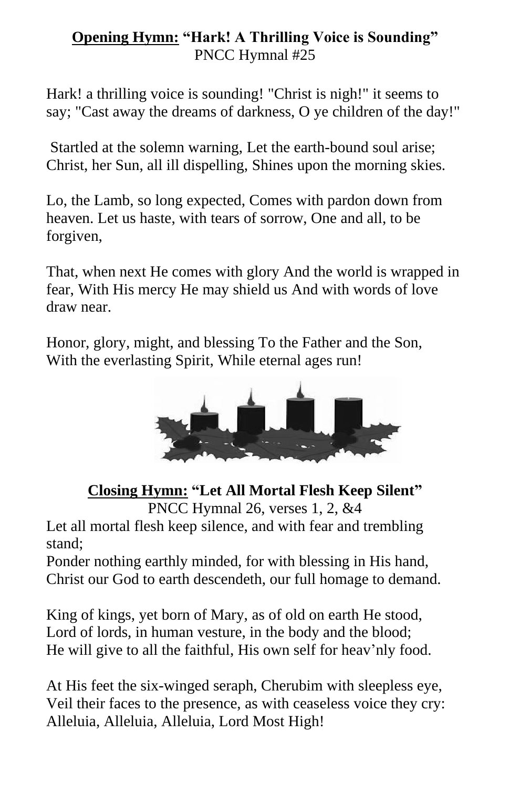#### **Opening Hymn: "Hark! A Thrilling Voice is Sounding"** PNCC Hymnal #25

Hark! a thrilling voice is sounding! "Christ is nigh!" it seems to say; "Cast away the dreams of darkness, O ye children of the day!"

Startled at the solemn warning, Let the earth-bound soul arise; Christ, her Sun, all ill dispelling, Shines upon the morning skies.

Lo, the Lamb, so long expected, Comes with pardon down from heaven. Let us haste, with tears of sorrow, One and all, to be forgiven,

That, when next He comes with glory And the world is wrapped in fear, With His mercy He may shield us And with words of love draw near.

Honor, glory, might, and blessing To the Father and the Son, With the everlasting Spirit, While eternal ages run!



## **Closing Hymn: "Let All Mortal Flesh Keep Silent"**

PNCC Hymnal 26, verses 1, 2, &4

Let all mortal flesh keep silence, and with fear and trembling stand;

Ponder nothing earthly minded, for with blessing in His hand, Christ our God to earth descendeth, our full homage to demand.

King of kings, yet born of Mary, as of old on earth He stood, Lord of lords, in human vesture, in the body and the blood; He will give to all the faithful, His own self for heav'nly food.

At His feet the six-winged seraph, Cherubim with sleepless eye, Veil their faces to the presence, as with ceaseless voice they cry: Alleluia, Alleluia, Alleluia, Lord Most High!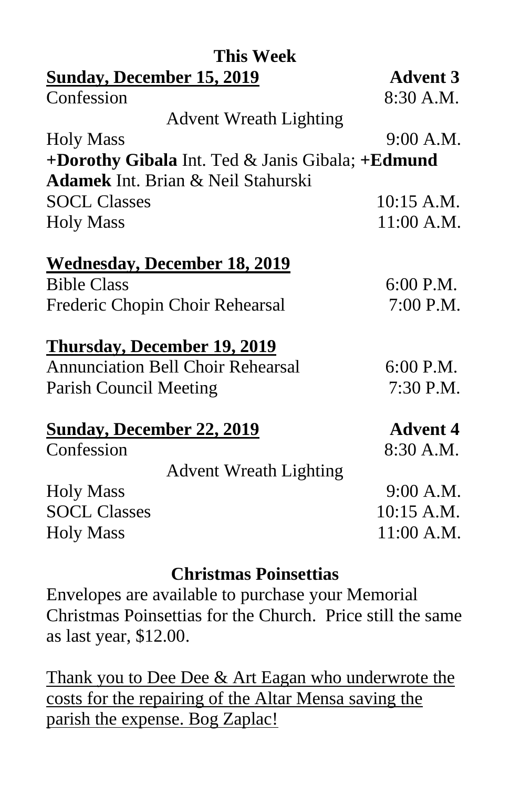| <b>Advent 3</b>                                     |
|-----------------------------------------------------|
| 8:30 A.M.                                           |
|                                                     |
| 9:00 A.M.                                           |
| +Dorothy Gibala Int. Ted $\&$ Janis Gibala; +Edmund |
|                                                     |
| 10:15 A.M.                                          |
| 11:00 A.M.                                          |
|                                                     |
| 6:00 P.M.                                           |
| 7:00 P.M.                                           |
|                                                     |
| 6:00 P.M.                                           |
| 7:30 P.M.                                           |
| <b>Advent 4</b>                                     |
| 8:30 A.M.                                           |
|                                                     |
| 9:00 A.M.                                           |
| 10:15 A.M.                                          |
| 11:00 A.M.                                          |
|                                                     |

#### **Christmas Poinsettias**

Envelopes are available to purchase your Memorial Christmas Poinsettias for the Church. Price still the same as last year, \$12.00.

Thank you to Dee Dee & Art Eagan who underwrote the costs for the repairing of the Altar Mensa saving the parish the expense. Bog Zaplac!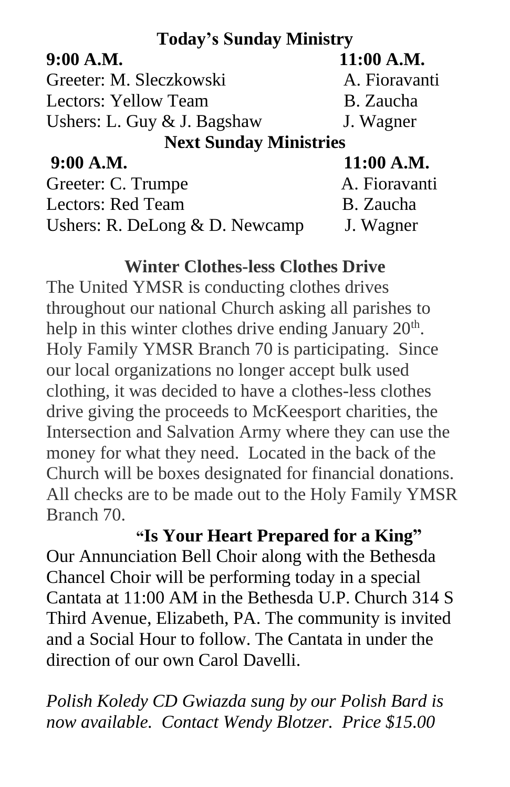## **Today's Sunday Ministry**

## **9:00 A.M. 11:00 A.M.**

Greeter: M. Sleczkowski A. Fioravanti Lectors: Yellow Team B. Zaucha Ushers: L. Guy & J. Bagshaw J. Wagner

## **Next Sunday Ministries**

**9:00 A.M. 11:00 A.M.**

| A. Fioravanti |
|---------------|
| B. Zaucha     |
| J. Wagner     |
|               |

## **Winter Clothes-less Clothes Drive**

The United YMSR is conducting clothes drives throughout our national Church asking all parishes to help in this winter clothes drive ending January  $20<sup>th</sup>$ . Holy Family YMSR Branch 70 is participating. Since our local organizations no longer accept bulk used clothing, it was decided to have a clothes-less clothes drive giving the proceeds to McKeesport charities, the Intersection and Salvation Army where they can use the money for what they need. Located in the back of the Church will be boxes designated for financial donations. All checks are to be made out to the Holy Family YMSR Branch 70.

 **"Is Your Heart Prepared for a King"** Our Annunciation Bell Choir along with the Bethesda Chancel Choir will be performing today in a special Cantata at 11:00 AM in the Bethesda U.P. Church 314 S Third Avenue, Elizabeth, PA. The community is invited and a Social Hour to follow. The Cantata in under the direction of our own Carol Davelli.

*Polish Koledy CD Gwiazda sung by our Polish Bard is now available. Contact Wendy Blotzer. Price \$15.00*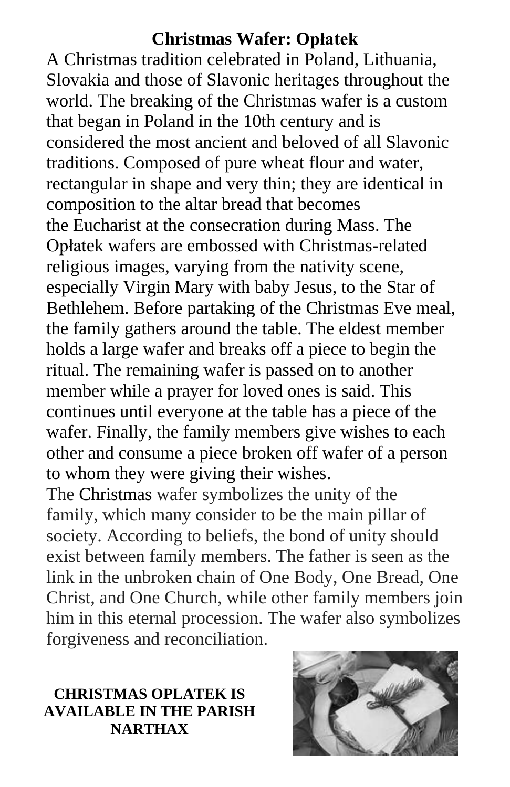## **Christmas Wafer: Opłatek**

A [Christmas tradition](https://en.wikipedia.org/wiki/Christmas_tradition) celebrated in [Poland,](https://en.wikipedia.org/wiki/Poland) [Lithuania,](https://en.wikipedia.org/wiki/Lithuania) Slovakia and those of Slavonic heritages throughout the world. The breaking of the Christmas wafer is a custom that began in Poland in the 10th century and is considered the most ancient and beloved of all Slavonic traditions. Composed of pure [wheat flour](https://en.wikipedia.org/wiki/Wheat_flour) and [water,](https://en.wikipedia.org/wiki/Water) rectangular in shape and very thin; they are identical in composition to the altar bread that becomes the [Eucharist](https://en.wikipedia.org/wiki/Eucharist) at the [consecration](https://en.wikipedia.org/wiki/Consecration) during [Mass.](https://en.wikipedia.org/wiki/Mass_(liturgy)) The Opłatek wafers are embossed with [Christmas-](https://en.wikipedia.org/wiki/Christmas)related religious images, varying from the [nativity scene,](https://en.wikipedia.org/wiki/Nativity_scene) especially [Virgin Mary](https://en.wikipedia.org/wiki/Virgin_Mary) with baby [Jesus,](https://en.wikipedia.org/wiki/Jesus) to the [Star of](https://en.wikipedia.org/wiki/Star_of_Bethlehem)  [Bethlehem.](https://en.wikipedia.org/wiki/Star_of_Bethlehem) Before partaking of the [Christmas Eve](https://en.wikipedia.org/wiki/Christmas_Eve) meal, the family gathers around the table. The eldest member holds a large wafer and breaks off a piece to begin the ritual. The remaining wafer is passed on to another member while a prayer for loved ones is said. This continues until everyone at the table has a piece of the wafer. Finally, the family members give wishes to each other and consume a piece broken off wafer of a person to whom they were giving their wishes.

The [Christmas](https://en.wikipedia.org/wiki/Christmas) wafer symbolizes the unity of the family, which many consider to be the main pillar of society. According to beliefs, the bond of unity should exist between family members. The father is seen as the link in the unbroken chain of One Body, One Bread, One Christ, and One Church, while other family members join him in this eternal procession. The wafer also symbolizes forgiveness and reconciliation.

#### **CHRISTMAS OPLATEK IS AVAILABLE IN THE PARISH NARTHAX**